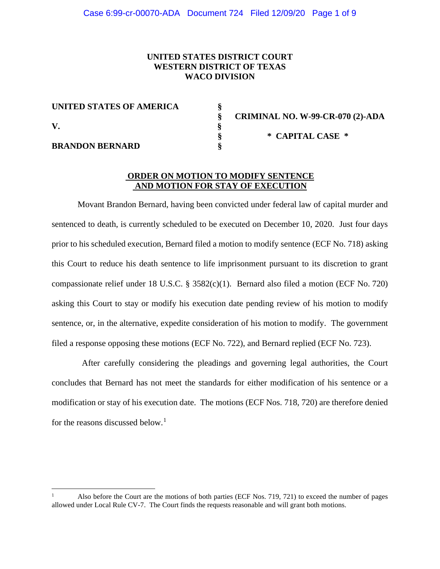# **UNITED STATES DISTRICT COURT WESTERN DISTRICT OF TEXAS WACO DIVISION**

| UNITED STATES OF AMERICA |  |
|--------------------------|--|
| V                        |  |
|                          |  |
| <b>BRANDON BERNARD</b>   |  |

 **§ CRIMINAL NO. W-99-CR-070 (2)-ADA § \* CAPITAL CASE \***

# **ORDER ON MOTION TO MODIFY SENTENCE AND MOTION FOR STAY OF EXECUTION**

Movant Brandon Bernard, having been convicted under federal law of capital murder and sentenced to death, is currently scheduled to be executed on December 10, 2020. Just four days prior to his scheduled execution, Bernard filed a motion to modify sentence (ECF No. 718) asking this Court to reduce his death sentence to life imprisonment pursuant to its discretion to grant compassionate relief under 18 U.S.C. § 3582(c)(1). Bernard also filed a motion (ECF No. 720) asking this Court to stay or modify his execution date pending review of his motion to modify sentence, or, in the alternative, expedite consideration of his motion to modify. The government filed a response opposing these motions (ECF No. 722), and Bernard replied (ECF No. 723).

After carefully considering the pleadings and governing legal authorities, the Court concludes that Bernard has not meet the standards for either modification of his sentence or a modification or stay of his execution date. The motions (ECF Nos. 718, 720) are therefore denied for the reasons discussed below.<sup>[1](#page-0-0)</sup>

<span id="page-0-0"></span><sup>1</sup> Also before the Court are the motions of both parties (ECF Nos. 719, 721) to exceed the number of pages allowed under Local Rule CV-7. The Court finds the requests reasonable and will grant both motions.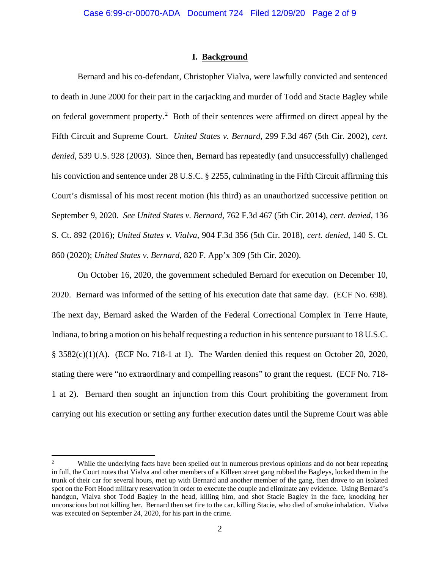## **I. Background**

Bernard and his co-defendant, Christopher Vialva, were lawfully convicted and sentenced to death in June 2000 for their part in the carjacking and murder of Todd and Stacie Bagley while on federal government property.<sup>[2](#page-1-0)</sup> Both of their sentences were affirmed on direct appeal by the Fifth Circuit and Supreme Court. *United States v. Bernard*, 299 F.3d 467 (5th Cir. 2002), *cert. denied*, 539 U.S. 928 (2003). Since then, Bernard has repeatedly (and unsuccessfully) challenged his conviction and sentence under 28 U.S.C. § 2255, culminating in the Fifth Circuit affirming this Court's dismissal of his most recent motion (his third) as an unauthorized successive petition on September 9, 2020. *See United States v. Bernard*, 762 F.3d 467 (5th Cir. 2014), *cert. denied*, 136 S. Ct. 892 (2016); *United States v. Vialva*, 904 F.3d 356 (5th Cir. 2018), *cert. denied*, 140 S. Ct. 860 (2020); *United States v. Bernard*, 820 F. App'x 309 (5th Cir. 2020).

On October 16, 2020, the government scheduled Bernard for execution on December 10, 2020. Bernard was informed of the setting of his execution date that same day. (ECF No. 698). The next day, Bernard asked the Warden of the Federal Correctional Complex in Terre Haute, Indiana, to bring a motion on his behalf requesting a reduction in his sentence pursuant to 18 U.S.C.  $\S$  3582(c)(1)(A). (ECF No. 718-1 at 1). The Warden denied this request on October 20, 2020, stating there were "no extraordinary and compelling reasons" to grant the request. (ECF No. 718- 1 at 2). Bernard then sought an injunction from this Court prohibiting the government from carrying out his execution or setting any further execution dates until the Supreme Court was able

<span id="page-1-0"></span><sup>&</sup>lt;sup>2</sup> While the underlying facts have been spelled out in numerous previous opinions and do not bear repeating in full, the Court notes that Vialva and other members of a Killeen street gang robbed the Bagleys, locked them in the trunk of their car for several hours, met up with Bernard and another member of the gang, then drove to an isolated spot on the Fort Hood military reservation in order to execute the couple and eliminate any evidence. Using Bernard's handgun, Vialva shot Todd Bagley in the head, killing him, and shot Stacie Bagley in the face, knocking her unconscious but not killing her. Bernard then set fire to the car, killing Stacie, who died of smoke inhalation. Vialva was executed on September 24, 2020, for his part in the crime.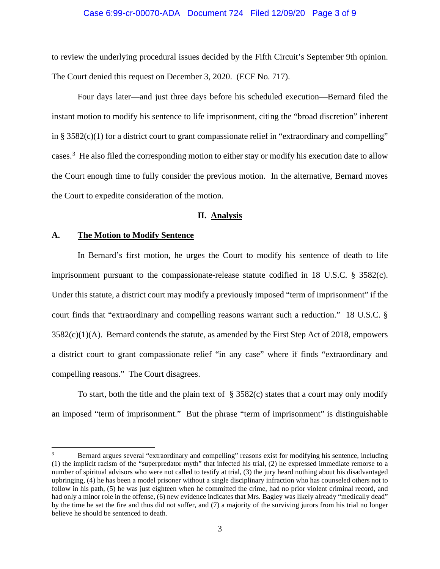#### Case 6:99-cr-00070-ADA Document 724 Filed 12/09/20 Page 3 of 9

to review the underlying procedural issues decided by the Fifth Circuit's September 9th opinion. The Court denied this request on December 3, 2020. (ECF No. 717).

Four days later—and just three days before his scheduled execution—Bernard filed the instant motion to modify his sentence to life imprisonment, citing the "broad discretion" inherent in § 3582(c)(1) for a district court to grant compassionate relief in "extraordinary and compelling" cases.<sup>[3](#page-2-0)</sup> He also filed the corresponding motion to either stay or modify his execution date to allow the Court enough time to fully consider the previous motion. In the alternative, Bernard moves the Court to expedite consideration of the motion.

#### **II. Analysis**

#### **A. The Motion to Modify Sentence**

In Bernard's first motion, he urges the Court to modify his sentence of death to life imprisonment pursuant to the compassionate-release statute codified in 18 U.S.C. § 3582(c). Under this statute, a district court may modify a previously imposed "term of imprisonment" if the court finds that "extraordinary and compelling reasons warrant such a reduction." 18 U.S.C. § 3582(c)(1)(A). Bernard contends the statute, as amended by the First Step Act of 2018, empowers a district court to grant compassionate relief "in any case" where if finds "extraordinary and compelling reasons." The Court disagrees.

To start, both the title and the plain text of  $\S$  3582(c) states that a court may only modify an imposed "term of imprisonment." But the phrase "term of imprisonment" is distinguishable

<span id="page-2-0"></span><sup>&</sup>lt;sup>3</sup> Bernard argues several "extraordinary and compelling" reasons exist for modifying his sentence, including (1) the implicit racism of the "superpredator myth" that infected his trial, (2) he expressed immediate remorse to a number of spiritual advisors who were not called to testify at trial, (3) the jury heard nothing about his disadvantaged upbringing, (4) he has been a model prisoner without a single disciplinary infraction who has counseled others not to follow in his path, (5) he was just eighteen when he committed the crime, had no prior violent criminal record, and had only a minor role in the offense, (6) new evidence indicates that Mrs. Bagley was likely already "medically dead" by the time he set the fire and thus did not suffer, and (7) a majority of the surviving jurors from his trial no longer believe he should be sentenced to death.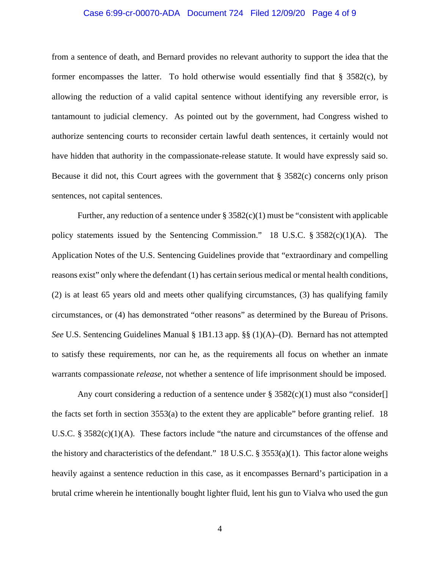## Case 6:99-cr-00070-ADA Document 724 Filed 12/09/20 Page 4 of 9

from a sentence of death, and Bernard provides no relevant authority to support the idea that the former encompasses the latter. To hold otherwise would essentially find that § 3582(c), by allowing the reduction of a valid capital sentence without identifying any reversible error, is tantamount to judicial clemency. As pointed out by the government, had Congress wished to authorize sentencing courts to reconsider certain lawful death sentences, it certainly would not have hidden that authority in the compassionate-release statute. It would have expressly said so. Because it did not, this Court agrees with the government that  $\S$  3582(c) concerns only prison sentences, not capital sentences.

Further, any reduction of a sentence under  $\S 3582(c)(1)$  must be "consistent with applicable" policy statements issued by the Sentencing Commission." 18 U.S.C. § 3582(c)(1)(A). The Application Notes of the U.S. Sentencing Guidelines provide that "extraordinary and compelling reasons exist" only where the defendant (1) has certain serious medical or mental health conditions, (2) is at least 65 years old and meets other qualifying circumstances, (3) has qualifying family circumstances, or (4) has demonstrated "other reasons" as determined by the Bureau of Prisons. *See* U.S. Sentencing Guidelines Manual § 1B1.13 app. §§ (1)(A)–(D). Bernard has not attempted to satisfy these requirements, nor can he, as the requirements all focus on whether an inmate warrants compassionate *release*, not whether a sentence of life imprisonment should be imposed.

Any court considering a reduction of a sentence under  $\S 3582(c)(1)$  must also "consider[] the facts set forth in section 3553(a) to the extent they are applicable" before granting relief. 18 U.S.C. § 3582(c)(1)(A). These factors include "the nature and circumstances of the offense and the history and characteristics of the defendant." 18 U.S.C.  $\S 3553(a)(1)$ . This factor alone weighs heavily against a sentence reduction in this case, as it encompasses Bernard's participation in a brutal crime wherein he intentionally bought lighter fluid, lent his gun to Vialva who used the gun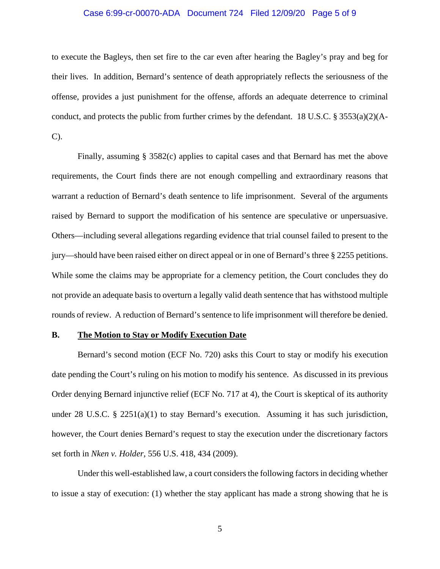## Case 6:99-cr-00070-ADA Document 724 Filed 12/09/20 Page 5 of 9

to execute the Bagleys, then set fire to the car even after hearing the Bagley's pray and beg for their lives. In addition, Bernard's sentence of death appropriately reflects the seriousness of the offense, provides a just punishment for the offense, affords an adequate deterrence to criminal conduct, and protects the public from further crimes by the defendant. 18 U.S.C. § 3553(a)(2)(A-C).

Finally, assuming § 3582(c) applies to capital cases and that Bernard has met the above requirements, the Court finds there are not enough compelling and extraordinary reasons that warrant a reduction of Bernard's death sentence to life imprisonment. Several of the arguments raised by Bernard to support the modification of his sentence are speculative or unpersuasive. Others—including several allegations regarding evidence that trial counsel failed to present to the jury—should have been raised either on direct appeal or in one of Bernard's three § 2255 petitions. While some the claims may be appropriate for a clemency petition, the Court concludes they do not provide an adequate basis to overturn a legally valid death sentence that has withstood multiple rounds of review. A reduction of Bernard's sentence to life imprisonment will therefore be denied.

#### **B. The Motion to Stay or Modify Execution Date**

Bernard's second motion (ECF No. 720) asks this Court to stay or modify his execution date pending the Court's ruling on his motion to modify his sentence. As discussed in its previous Order denying Bernard injunctive relief (ECF No. 717 at 4), the Court is skeptical of its authority under 28 U.S.C. § 2251(a)(1) to stay Bernard's execution. Assuming it has such jurisdiction, however, the Court denies Bernard's request to stay the execution under the discretionary factors set forth in *Nken v. Holder*, 556 U.S. 418, 434 (2009).

Under this well-established law, a court considers the following factors in deciding whether to issue a stay of execution: (1) whether the stay applicant has made a strong showing that he is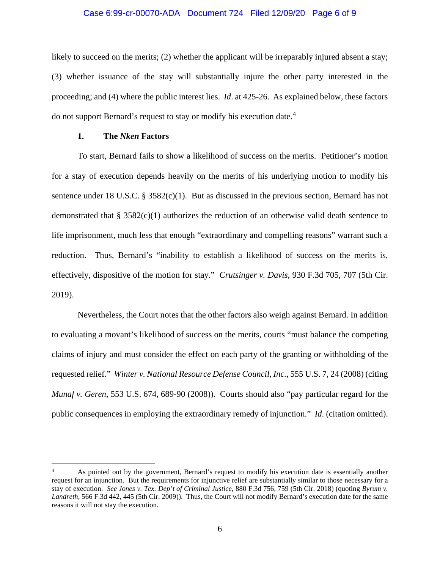### Case 6:99-cr-00070-ADA Document 724 Filed 12/09/20 Page 6 of 9

likely to succeed on the merits; (2) whether the applicant will be irreparably injured absent a stay; (3) whether issuance of the stay will substantially injure the other party interested in the proceeding; and (4) where the public interest lies. *Id*. at 425-26. As explained below, these factors do not support Bernard's request to stay or modify his execution date.<sup>[4](#page-5-0)</sup>

# **1. The** *Nken* **Factors**

To start, Bernard fails to show a likelihood of success on the merits. Petitioner's motion for a stay of execution depends heavily on the merits of his underlying motion to modify his sentence under 18 U.S.C. § 3582(c)(1). But as discussed in the previous section, Bernard has not demonstrated that  $\S$  3582(c)(1) authorizes the reduction of an otherwise valid death sentence to life imprisonment, much less that enough "extraordinary and compelling reasons" warrant such a reduction. Thus, Bernard's "inability to establish a likelihood of success on the merits is, effectively, dispositive of the motion for stay." *Crutsinger v. Davis,* 930 F.3d 705, 707 (5th Cir. 2019).

Nevertheless, the Court notes that the other factors also weigh against Bernard. In addition to evaluating a movant's likelihood of success on the merits, courts "must balance the competing claims of injury and must consider the effect on each party of the granting or withholding of the requested relief." *Winter v. National Resource Defense Council, Inc.*, 555 U.S. 7, 24 (2008) (citing *Munaf v. Geren*, 553 U.S. 674, 689-90 (2008)). Courts should also "pay particular regard for the public consequences in employing the extraordinary remedy of injunction." *Id*. (citation omitted).

<span id="page-5-0"></span><sup>4</sup> As pointed out by the government, Bernard's request to modify his execution date is essentially another request for an injunction. But the requirements for injunctive relief are substantially similar to those necessary for a stay of execution. *See Jones v. Tex. Dep't of Criminal Justice*, 880 F.3d 756, 759 (5th Cir. 2018) (quoting *Byrum v. Landreth*, 566 F.3d 442, 445 (5th Cir. 2009)). Thus, the Court will not modify Bernard's execution date for the same reasons it will not stay the execution.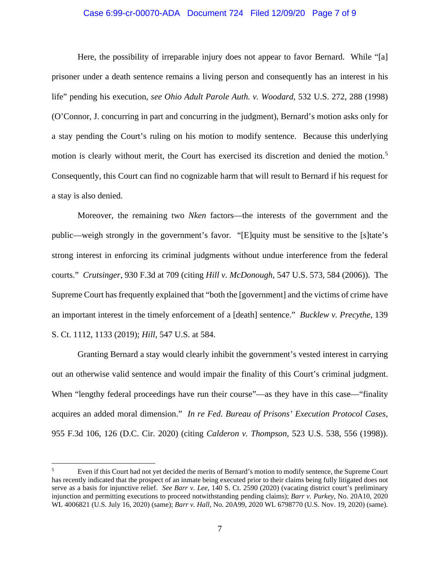## Case 6:99-cr-00070-ADA Document 724 Filed 12/09/20 Page 7 of 9

Here, the possibility of irreparable injury does not appear to favor Bernard. While "[a] prisoner under a death sentence remains a living person and consequently has an interest in his life" pending his execution, *see Ohio Adult Parole Auth. v. Woodard*, 532 U.S. 272, 288 (1998) (O'Connor, J. concurring in part and concurring in the judgment), Bernard's motion asks only for a stay pending the Court's ruling on his motion to modify sentence. Because this underlying motion is clearly without merit, the Court has exercised its discretion and denied the motion.<sup>[5](#page-6-0)</sup> Consequently, this Court can find no cognizable harm that will result to Bernard if his request for a stay is also denied.

Moreover, the remaining two *Nken* factors—the interests of the government and the public—weigh strongly in the government's favor. "[E]quity must be sensitive to the [s]tate's strong interest in enforcing its criminal judgments without undue interference from the federal courts." *Crutsinger*, 930 F.3d at 709 (citing *Hill v. McDonough*, 547 U.S. 573, 584 (2006)). The Supreme Court has frequently explained that "both the [government] and the victims of crime have an important interest in the timely enforcement of a [death] sentence." *Bucklew v. Precythe*, 139 S. Ct. 1112, 1133 (2019); *Hill*, 547 U.S. at 584.

Granting Bernard a stay would clearly inhibit the government's vested interest in carrying out an otherwise valid sentence and would impair the finality of this Court's criminal judgment. When "lengthy federal proceedings have run their course"—as they have in this case—"finality acquires an added moral dimension." *In re Fed. Bureau of Prisons' Execution Protocol Cases*, 955 F.3d 106, 126 (D.C. Cir. 2020) (citing *Calderon v. Thompson*, 523 U.S. 538, 556 (1998)).

<span id="page-6-0"></span><sup>&</sup>lt;sup>5</sup> Even if this Court had not yet decided the merits of Bernard's motion to modify sentence, the Supreme Court has recently indicated that the prospect of an inmate being executed prior to their claims being fully litigated does not serve as a basis for injunctive relief. *See Barr v. Lee*, 140 S. Ct. 2590 (2020) (vacating district court's preliminary injunction and permitting executions to proceed notwithstanding pending claims); *Barr v. Purkey*, No. 20A10, 2020 WL 4006821 (U.S. July 16, 2020) (same); *Barr v. Hall*, No. 20A99, 2020 WL 6798770 (U.S. Nov. 19, 2020) (same).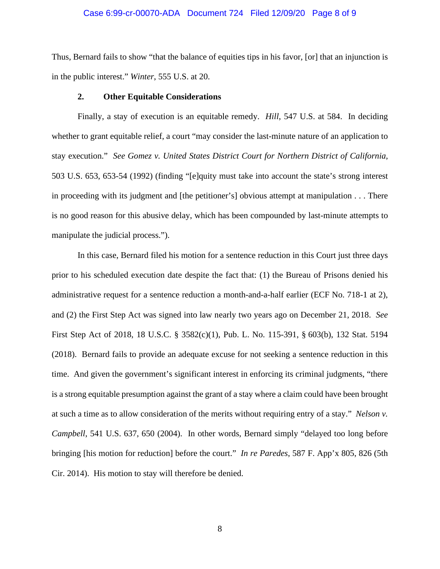#### Case 6:99-cr-00070-ADA Document 724 Filed 12/09/20 Page 8 of 9

Thus, Bernard fails to show "that the balance of equities tips in his favor, [or] that an injunction is in the public interest." *Winter*, 555 U.S. at 20.

## **2. Other Equitable Considerations**

Finally, a stay of execution is an equitable remedy. *Hill*, 547 U.S. at 584. In deciding whether to grant equitable relief, a court "may consider the last-minute nature of an application to stay execution." *See Gomez v. United States District Court for Northern District of California*, 503 U.S. 653, 653-54 (1992) (finding "[e]quity must take into account the state's strong interest in proceeding with its judgment and [the petitioner's] obvious attempt at manipulation . . . There is no good reason for this abusive delay, which has been compounded by last-minute attempts to manipulate the judicial process.").

In this case, Bernard filed his motion for a sentence reduction in this Court just three days prior to his scheduled execution date despite the fact that: (1) the Bureau of Prisons denied his administrative request for a sentence reduction a month-and-a-half earlier (ECF No. 718-1 at 2), and (2) the First Step Act was signed into law nearly two years ago on December 21, 2018. *See* First Step Act of 2018, 18 U.S.C. § 3582(c)(1), Pub. L. No. 115-391, § 603(b), 132 Stat. 5194 (2018). Bernard fails to provide an adequate excuse for not seeking a sentence reduction in this time. And given the government's significant interest in enforcing its criminal judgments, "there is a strong equitable presumption against the grant of a stay where a claim could have been brought at such a time as to allow consideration of the merits without requiring entry of a stay." *Nelson v. Campbell*, 541 U.S. 637, 650 (2004). In other words, Bernard simply "delayed too long before bringing [his motion for reduction] before the court." *In re Paredes*, 587 F. App'x 805, 826 (5th Cir. 2014). His motion to stay will therefore be denied.